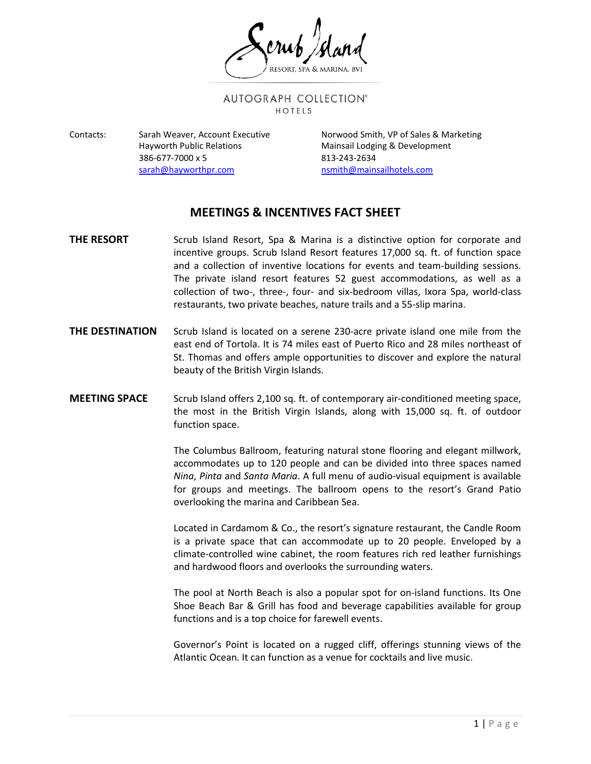AUTOGRAPH COLLECTION® HOTELS

Contacts: Sarah Weaver, Account Executive Norwood Smith, VP of Sales & Marketing 386-677-7000 x 5 813-243-2634 [sarah@hayworthpr.com](mailto:sarah@hayworthpr.com) [nsmith@mainsailhotels.com](mailto:nsmith@mainsailhotels.com)

Hayworth Public Relations **Mainsail Lodging & Development** 

## **MEETINGS & INCENTIVES FACT SHEET**

- **THE RESORT** Scrub Island Resort, Spa & Marina is a distinctive option for corporate and incentive groups. Scrub Island Resort features 17,000 sq. ft. of function space and a collection of inventive locations for events and team-building sessions. The private island resort features 52 guest accommodations, as well as a collection of two-, three-, four- and six-bedroom villas, Ixora Spa, world-class restaurants, two private beaches, nature trails and a 55-slip marina.
- **THE DESTINATION** Scrub Island is located on a serene 230-acre private island one mile from the east end of Tortola. It is 74 miles east of Puerto Rico and 28 miles northeast of St. Thomas and offers ample opportunities to discover and explore the natural beauty of the British Virgin Islands.
- **MEETING SPACE** Scrub Island offers 2,100 sq. ft. of contemporary air-conditioned meeting space, the most in the British Virgin Islands, along with 15,000 sq. ft. of outdoor function space.

The Columbus Ballroom, featuring natural stone flooring and elegant millwork, accommodates up to 120 people and can be divided into three spaces named *Nina*, *Pinta* and *Santa Maria*. A full menu of audio-visual equipment is available for groups and meetings. The ballroom opens to the resort's Grand Patio overlooking the marina and Caribbean Sea.

Located in Cardamom & Co., the resort's signature restaurant, the Candle Room is a private space that can accommodate up to 20 people. Enveloped by a climate-controlled wine cabinet, the room features rich red leather furnishings and hardwood floors and overlooks the surrounding waters.

The pool at North Beach is also a popular spot for on-island functions. Its One Shoe Beach Bar & Grill has food and beverage capabilities available for group functions and is a top choice for farewell events.

Governor's Point is located on a rugged cliff, offerings stunning views of the Atlantic Ocean. It can function as a venue for cocktails and live music.